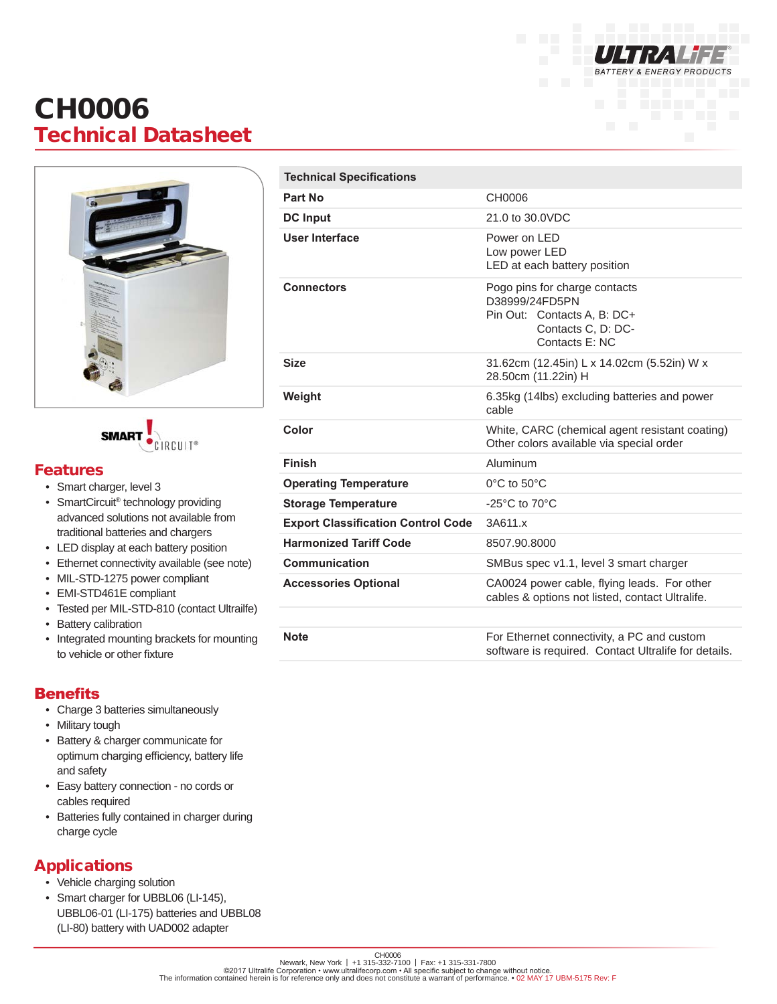

# CH0006 Technical Datasheet



**SMAR** 

#### Features

- Smart charger, level 3
- SmartCircuit® technology providing advanced solutions not available from traditional batteries and chargers
- LED display at each battery position
- Ethernet connectivity available (see note)
- MIL-STD-1275 power compliant
- EMI-STD461E compliant
- Tested per MIL-STD-810 (contact Ultrailfe)
- Battery calibration
- Integrated mounting brackets for mounting to vehicle or other fixture

### **Benefits**

- Charge 3 batteries simultaneously
- Military tough
- Battery & charger communicate for optimum charging efficiency, battery life and safety
- Easy battery connection no cords or cables required
- Batteries fully contained in charger during charge cycle

## Applications

- Vehicle charging solution
- Smart charger for UBBL06 (LI-145), UBBL06-01 (LI-175) batteries and UBBL08 (LI-80) battery with UAD002 adapter

| <b>Technical Specifications</b>           |                                                                                                                        |
|-------------------------------------------|------------------------------------------------------------------------------------------------------------------------|
| Part No                                   | CH0006                                                                                                                 |
| <b>DC Input</b>                           | 21.0 to 30.0VDC                                                                                                        |
| User Interface                            | Power on LED<br>Low power LED<br>LED at each battery position                                                          |
| <b>Connectors</b>                         | Pogo pins for charge contacts<br>D38999/24FD5PN<br>Pin Out: Contacts A, B: DC+<br>Contacts C, D: DC-<br>Contacts E: NC |
| <b>Size</b>                               | 31.62cm (12.45in) L x 14.02cm (5.52in) W x<br>28.50cm (11.22in) H                                                      |
| Weight                                    | 6.35kg (14lbs) excluding batteries and power<br>cable                                                                  |
| Color                                     | White, CARC (chemical agent resistant coating)<br>Other colors available via special order                             |
| <b>Finish</b>                             | Aluminum                                                                                                               |
| <b>Operating Temperature</b>              | $0^{\circ}$ C to $50^{\circ}$ C                                                                                        |
| <b>Storage Temperature</b>                | -25 $^{\circ}$ C to 70 $^{\circ}$ C                                                                                    |
| <b>Export Classification Control Code</b> | 3A611.x                                                                                                                |
| <b>Harmonized Tariff Code</b>             | 8507.90.8000                                                                                                           |
| Communication                             | SMBus spec v1.1, level 3 smart charger                                                                                 |
| <b>Accessories Optional</b>               | CA0024 power cable, flying leads. For other<br>cables & options not listed, contact Ultralife.                         |
|                                           |                                                                                                                        |
| $N \sim f \sim$                           | For Ethernet connectivity a PC and queter                                                                              |

**Note For Ethernet connectivity, a PC and custom For Ethernet connectivity, a PC and custom** software is required. Contact Ultralife for details.

CH0006<br>Newark, New York | +1 315-332-7100 | Fax: +1 315-331-7800<br>The information contained herein is for reference only and does not constitute a warrant of performance. ● 02 MAY 17 UBM-5175 Rev: F<br>The information contain